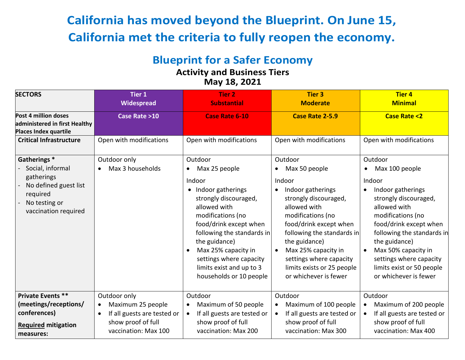# **California has moved beyond the Blueprint. On June 15, California met the criteria to fully reopen the economy.**

# **Blueprint for a Safer Economy**

# **Activity and Business Tiers May 18, 2021**

| <b>SECTORS</b>                                                                                                              | <b>Tier 1</b><br>Widespread                                                                                                              | <b>Tier 2</b><br><b>Substantial</b>                                                                                                                                                                                                                                                                                                 | <b>Tier 3</b><br><b>Moderate</b>                                                                                                                                                                                                                                                                                     | <b>Tier 4</b><br><b>Minimal</b>                                                                                                                                                                                                                                                                                                        |
|-----------------------------------------------------------------------------------------------------------------------------|------------------------------------------------------------------------------------------------------------------------------------------|-------------------------------------------------------------------------------------------------------------------------------------------------------------------------------------------------------------------------------------------------------------------------------------------------------------------------------------|----------------------------------------------------------------------------------------------------------------------------------------------------------------------------------------------------------------------------------------------------------------------------------------------------------------------|----------------------------------------------------------------------------------------------------------------------------------------------------------------------------------------------------------------------------------------------------------------------------------------------------------------------------------------|
| Post 4 million doses<br>administered in first Healthy<br>Places Index quartile                                              | Case Rate >10                                                                                                                            | <b>Case Rate 6-10</b>                                                                                                                                                                                                                                                                                                               | <b>Case Rate 2-5.9</b>                                                                                                                                                                                                                                                                                               | <b>Case Rate &lt;2</b>                                                                                                                                                                                                                                                                                                                 |
| <b>Critical Infrastructure</b>                                                                                              | Open with modifications                                                                                                                  | Open with modifications                                                                                                                                                                                                                                                                                                             | Open with modifications                                                                                                                                                                                                                                                                                              | Open with modifications                                                                                                                                                                                                                                                                                                                |
| Gatherings*<br>Social, informal<br>gatherings<br>No defined guest list<br>required<br>No testing or<br>vaccination required | Outdoor only<br>Max 3 households                                                                                                         | Outdoor<br>Max 25 people<br>$\bullet$<br>Indoor<br>• Indoor gatherings<br>strongly discouraged,<br>allowed with<br>modifications (no<br>food/drink except when<br>following the standards in<br>the guidance)<br>Max 25% capacity in<br>$\bullet$<br>settings where capacity<br>limits exist and up to 3<br>households or 10 people | Outdoor<br>Max 50 people<br>Indoor<br>Indoor gatherings<br>$\bullet$<br>strongly discouraged,<br>allowed with<br>modifications (no<br>food/drink except when<br>following the standards in<br>the guidance)<br>Max 25% capacity in<br>settings where capacity<br>limits exists or 25 people<br>or whichever is fewer | Outdoor<br>Max 100 people<br>$\bullet$<br>Indoor<br>Indoor gatherings<br>٠<br>strongly discouraged,<br>allowed with<br>modifications (no<br>food/drink except when<br>following the standards in<br>the guidance)<br>Max 50% capacity in<br>$\bullet$<br>settings where capacity<br>limits exist or 50 people<br>or whichever is fewer |
| <b>Private Events **</b><br>(meetings/receptions/<br>conferences)<br><b>Required mitigation</b><br>measures:                | Outdoor only<br>Maximum 25 people<br>$\bullet$<br>If all guests are tested or<br>$\bullet$<br>show proof of full<br>vaccination: Max 100 | Outdoor<br>Maximum of 50 people<br>If all guests are tested or<br>$\bullet$<br>show proof of full<br>vaccination: Max 200                                                                                                                                                                                                           | Outdoor<br>Maximum of 100 people<br>If all guests are tested or<br>$\bullet$<br>show proof of full<br>vaccination: Max 300                                                                                                                                                                                           | Outdoor<br>Maximum of 200 people<br>$\bullet$<br>If all guests are tested or<br>$\bullet$<br>show proof of full<br>vaccination: Max 400                                                                                                                                                                                                |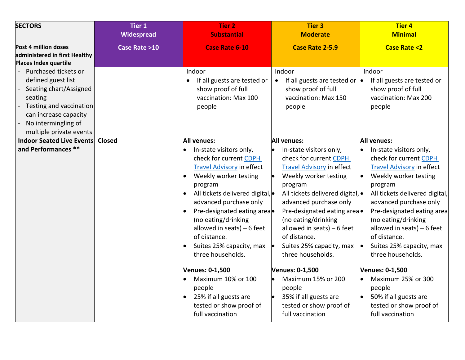| <b>SECTORS</b>                                                                                                                                                                        | <b>Tier 1</b><br><b>Widespread</b> | <b>Tier 2</b><br><b>Substantial</b>                                                                                                                                                                                                                                                                                                                                                                                                                                                                | <b>Tier 3</b><br><b>Moderate</b>                                                                                                                                                                                                                                                                                                                                                                                                                                                                     | <b>Tier 4</b><br><b>Minimal</b>                                                                                                                                                                                                                                                                                                                                                                                                                                                             |
|---------------------------------------------------------------------------------------------------------------------------------------------------------------------------------------|------------------------------------|----------------------------------------------------------------------------------------------------------------------------------------------------------------------------------------------------------------------------------------------------------------------------------------------------------------------------------------------------------------------------------------------------------------------------------------------------------------------------------------------------|------------------------------------------------------------------------------------------------------------------------------------------------------------------------------------------------------------------------------------------------------------------------------------------------------------------------------------------------------------------------------------------------------------------------------------------------------------------------------------------------------|---------------------------------------------------------------------------------------------------------------------------------------------------------------------------------------------------------------------------------------------------------------------------------------------------------------------------------------------------------------------------------------------------------------------------------------------------------------------------------------------|
| Post 4 million doses<br>administered in first Healthy<br><b>Places Index quartile</b>                                                                                                 | Case Rate >10                      | <b>Case Rate 6-10</b>                                                                                                                                                                                                                                                                                                                                                                                                                                                                              | Case Rate 2-5.9                                                                                                                                                                                                                                                                                                                                                                                                                                                                                      | <b>Case Rate &lt;2</b>                                                                                                                                                                                                                                                                                                                                                                                                                                                                      |
| Purchased tickets or<br>defined guest list<br>Seating chart/Assigned<br>seating<br>Testing and vaccination<br>can increase capacity<br>No intermingling of<br>multiple private events |                                    | Indoor<br>If all guests are tested or<br>show proof of full<br>vaccination: Max 100<br>people                                                                                                                                                                                                                                                                                                                                                                                                      | Indoor<br>If all guests are tested or $\bullet$<br>show proof of full<br>vaccination: Max 150<br>people                                                                                                                                                                                                                                                                                                                                                                                              | Indoor<br>If all guests are tested or<br>show proof of full<br>vaccination: Max 200<br>people                                                                                                                                                                                                                                                                                                                                                                                               |
| <b>Indoor Seated Live Events</b><br>and Performances **                                                                                                                               | <b>Closed</b>                      | <b>All venues:</b><br>In-state visitors only,<br>check for current CDPH<br><b>Travel Advisory in effect</b><br>Weekly worker testing<br>program<br>All tickets delivered digital,<br>advanced purchase only<br>Pre-designated eating area<br>(no eating/drinking<br>allowed in seats) $-6$ feet<br>of distance.<br>Suites 25% capacity, max<br>three households.<br><b>Venues: 0-1,500</b><br>Maximum 10% or 100<br>people<br>25% if all guests are<br>tested or show proof of<br>full vaccination | <b>All venues:</b><br>In-state visitors only,<br>check for current CDPH<br><b>Travel Advisory in effect</b><br>Weekly worker testing<br>program<br>All tickets delivered digital, ·<br>advanced purchase only<br>Pre-designated eating area<br>(no eating/drinking<br>allowed in seats) $-6$ feet<br>of distance.<br>Suites 25% capacity, max<br>three households.<br><b>Venues: 0-1,500</b><br>Maximum 15% or 200<br>people<br>35% if all guests are<br>tested or show proof of<br>full vaccination | <b>All venues:</b><br>In-state visitors only,<br>check for current CDPH<br><b>Travel Advisory in effect</b><br>Weekly worker testing<br>program<br>All tickets delivered digital,<br>advanced purchase only<br>Pre-designated eating area<br>(no eating/drinking<br>allowed in seats) $-6$ feet<br>of distance.<br>Suites 25% capacity, max<br>three households.<br>Venues: 0-1,500<br>Maximum 25% or 300<br>people<br>50% if all guests are<br>tested or show proof of<br>full vaccination |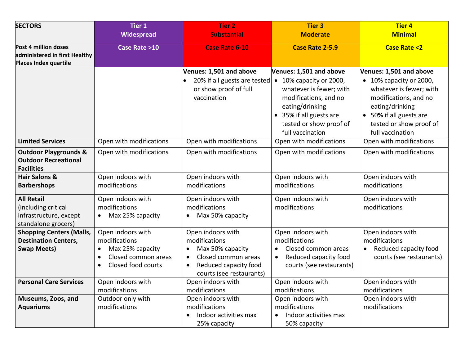| <b>SECTORS</b>                                                                            | <b>Tier 1</b>                                                                                                                              | <b>Tier 2</b>                                                                                                                                                             | <b>Tier 3</b>                                                                                                                               | <b>Tier 4</b>                                                                                                                                                            |
|-------------------------------------------------------------------------------------------|--------------------------------------------------------------------------------------------------------------------------------------------|---------------------------------------------------------------------------------------------------------------------------------------------------------------------------|---------------------------------------------------------------------------------------------------------------------------------------------|--------------------------------------------------------------------------------------------------------------------------------------------------------------------------|
|                                                                                           | Widespread                                                                                                                                 | <b>Substantial</b>                                                                                                                                                        | <b>Moderate</b>                                                                                                                             | <b>Minimal</b>                                                                                                                                                           |
| Post 4 million doses<br>administered in first Healthy<br>Places Index quartile            | Case Rate >10                                                                                                                              | <b>Case Rate 6-10</b>                                                                                                                                                     | <b>Case Rate 2-5.9</b>                                                                                                                      | <b>Case Rate &lt;2</b>                                                                                                                                                   |
|                                                                                           |                                                                                                                                            | Venues: 1,501 and above                                                                                                                                                   | Venues: 1,501 and above                                                                                                                     | Venues: 1,501 and above                                                                                                                                                  |
|                                                                                           |                                                                                                                                            | 20% if all guests are tested • 10% capacity or 2000,<br>or show proof of full<br>vaccination                                                                              | whatever is fewer; with<br>modifications, and no<br>eating/drinking<br>35% if all guests are<br>tested or show proof of<br>full vaccination | • 10% capacity or 2000,<br>whatever is fewer; with<br>modifications, and no<br>eating/drinking<br>• 50% if all guests are<br>tested or show proof of<br>full vaccination |
| <b>Limited Services</b>                                                                   | Open with modifications                                                                                                                    | Open with modifications                                                                                                                                                   | Open with modifications                                                                                                                     | Open with modifications                                                                                                                                                  |
| <b>Outdoor Playgrounds &amp;</b><br><b>Outdoor Recreational</b><br><b>Facilities</b>      | Open with modifications                                                                                                                    | Open with modifications                                                                                                                                                   | Open with modifications                                                                                                                     | Open with modifications                                                                                                                                                  |
| <b>Hair Salons &amp;</b><br><b>Barbershops</b>                                            | Open indoors with<br>modifications                                                                                                         | Open indoors with<br>modifications                                                                                                                                        | Open indoors with<br>modifications                                                                                                          | Open indoors with<br>modifications                                                                                                                                       |
| <b>All Retail</b><br>(including critical<br>infrastructure, except<br>standalone grocers) | Open indoors with<br>modifications<br>Max 25% capacity<br>$\bullet$                                                                        | Open indoors with<br>modifications<br>Max 50% capacity<br>$\bullet$                                                                                                       | Open indoors with<br>modifications                                                                                                          | Open indoors with<br>modifications                                                                                                                                       |
| <b>Shopping Centers (Malls,</b><br><b>Destination Centers,</b><br><b>Swap Meets)</b>      | Open indoors with<br>modifications<br>Max 25% capacity<br>$\bullet$<br>Closed common areas<br>$\bullet$<br>Closed food courts<br>$\bullet$ | Open indoors with<br>modifications<br>Max 50% capacity<br>$\bullet$<br>Closed common areas<br>$\bullet$<br>Reduced capacity food<br>$\bullet$<br>courts (see restaurants) | Open indoors with<br>modifications<br>Closed common areas<br>$\bullet$<br>Reduced capacity food<br>$\bullet$<br>courts (see restaurants)    | Open indoors with<br>modifications<br>Reduced capacity food<br>$\bullet$<br>courts (see restaurants)                                                                     |
| <b>Personal Care Services</b>                                                             | Open indoors with<br>modifications                                                                                                         | Open indoors with<br>modifications                                                                                                                                        | Open indoors with<br>modifications                                                                                                          | Open indoors with<br>modifications                                                                                                                                       |
| Museums, Zoos, and<br><b>Aquariums</b>                                                    | Outdoor only with<br>modifications                                                                                                         | Open indoors with<br>modifications                                                                                                                                        | Open indoors with<br>modifications                                                                                                          | Open indoors with<br>modifications                                                                                                                                       |
|                                                                                           |                                                                                                                                            | Indoor activities max<br>25% capacity                                                                                                                                     | Indoor activities max<br>50% capacity                                                                                                       |                                                                                                                                                                          |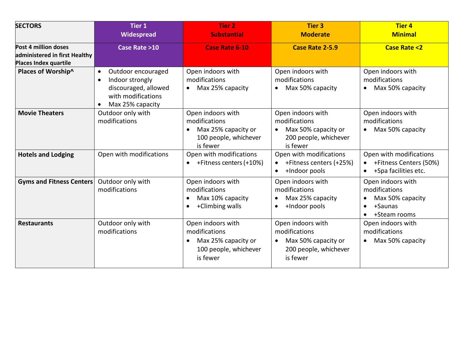| <b>SECTORS</b>                                                                 | <b>Tier 1</b><br>Widespread                                                                                                                    | <b>Tier 2</b><br><b>Substantial</b>                                                                         | <b>Tier 3</b><br><b>Moderate</b>                                                                            | <b>Tier 4</b><br><b>Minimal</b>                                                                |
|--------------------------------------------------------------------------------|------------------------------------------------------------------------------------------------------------------------------------------------|-------------------------------------------------------------------------------------------------------------|-------------------------------------------------------------------------------------------------------------|------------------------------------------------------------------------------------------------|
| Post 4 million doses<br>administered in first Healthy<br>Places Index quartile | Case Rate >10                                                                                                                                  | <b>Case Rate 6-10</b>                                                                                       | Case Rate 2-5.9                                                                                             | <b>Case Rate &lt;2</b>                                                                         |
| Places of Worship^                                                             | Outdoor encouraged<br>$\bullet$<br>Indoor strongly<br>$\bullet$<br>discouraged, allowed<br>with modifications<br>Max 25% capacity<br>$\bullet$ | Open indoors with<br>modifications<br>Max 25% capacity<br>$\bullet$                                         | Open indoors with<br>modifications<br>Max 50% capacity<br>$\bullet$                                         | Open indoors with<br>modifications<br>Max 50% capacity                                         |
| <b>Movie Theaters</b>                                                          | Outdoor only with<br>modifications                                                                                                             | Open indoors with<br>modifications<br>Max 25% capacity or<br>100 people, whichever<br>is fewer              | Open indoors with<br>modifications<br>Max 50% capacity or<br>$\bullet$<br>200 people, whichever<br>is fewer | Open indoors with<br>modifications<br>Max 50% capacity                                         |
| <b>Hotels and Lodging</b>                                                      | Open with modifications                                                                                                                        | Open with modifications<br>+Fitness centers (+10%)                                                          | Open with modifications<br>+Fitness centers (+25%)<br>+Indoor pools<br>$\bullet$                            | Open with modifications<br>• + Fitness Centers (50%)<br>+Spa facilities etc.                   |
| <b>Gyms and Fitness Centers</b>                                                | Outdoor only with<br>modifications                                                                                                             | Open indoors with<br>modifications<br>Max 10% capacity<br>+Climbing walls<br>$\bullet$                      | Open indoors with<br>modifications<br>Max 25% capacity<br>+Indoor pools<br>$\bullet$                        | Open indoors with<br>modifications<br>Max 50% capacity<br>+Saunas<br>$\bullet$<br>+Steam rooms |
| <b>Restaurants</b>                                                             | Outdoor only with<br>modifications                                                                                                             | Open indoors with<br>modifications<br>Max 25% capacity or<br>$\bullet$<br>100 people, whichever<br>is fewer | Open indoors with<br>modifications<br>Max 50% capacity or<br>$\bullet$<br>200 people, whichever<br>is fewer | Open indoors with<br>modifications<br>Max 50% capacity<br>$\bullet$                            |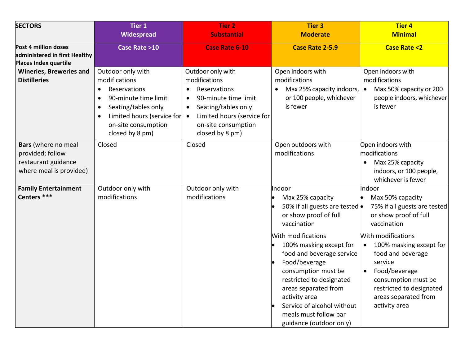| <b>SECTORS</b>                                                                            | <b>Tier 1</b>                                                                                                                                                                                                                 | <b>Tier 2</b>                                                                                                                                                                                                    | <b>Tier 3</b>                                                                                                                                                                                                                                                                                                                                                                     | <b>Tier 4</b>                                                                                                                                                                                                                                                                                                         |
|-------------------------------------------------------------------------------------------|-------------------------------------------------------------------------------------------------------------------------------------------------------------------------------------------------------------------------------|------------------------------------------------------------------------------------------------------------------------------------------------------------------------------------------------------------------|-----------------------------------------------------------------------------------------------------------------------------------------------------------------------------------------------------------------------------------------------------------------------------------------------------------------------------------------------------------------------------------|-----------------------------------------------------------------------------------------------------------------------------------------------------------------------------------------------------------------------------------------------------------------------------------------------------------------------|
|                                                                                           | Widespread                                                                                                                                                                                                                    | <b>Substantial</b>                                                                                                                                                                                               | <b>Moderate</b>                                                                                                                                                                                                                                                                                                                                                                   | <b>Minimal</b>                                                                                                                                                                                                                                                                                                        |
| Post 4 million doses<br>administered in first Healthy<br>Places Index quartile            | Case Rate >10                                                                                                                                                                                                                 | <b>Case Rate 6-10</b>                                                                                                                                                                                            | <b>Case Rate 2-5.9</b>                                                                                                                                                                                                                                                                                                                                                            | <b>Case Rate &lt;2</b>                                                                                                                                                                                                                                                                                                |
| <b>Wineries, Breweries and</b><br><b>Distilleries</b>                                     | Outdoor only with<br>modifications<br>Reservations<br>$\bullet$<br>90-minute time limit<br>$\bullet$<br>Seating/tables only<br>$\bullet$<br>Limited hours (service for<br>$\bullet$<br>on-site consumption<br>closed by 8 pm) | Outdoor only with<br>modifications<br>Reservations<br>$\bullet$<br>90-minute time limit<br>Seating/tables only<br>$\bullet$<br>Limited hours (service for<br>$\bullet$<br>on-site consumption<br>closed by 8 pm) | Open indoors with<br>modifications<br>Max 25% capacity indoors,<br>or 100 people, whichever<br>is fewer                                                                                                                                                                                                                                                                           | Open indoors with<br>modifications<br>Max 50% capacity or 200<br>$\bullet$<br>people indoors, whichever<br>is fewer                                                                                                                                                                                                   |
| Bars (where no meal<br>provided; follow<br>restaurant guidance<br>where meal is provided) | Closed                                                                                                                                                                                                                        | Closed                                                                                                                                                                                                           | Open outdoors with<br>modifications                                                                                                                                                                                                                                                                                                                                               | Open indoors with<br>modifications<br>Max 25% capacity<br>indoors, or 100 people,<br>whichever is fewer                                                                                                                                                                                                               |
| <b>Family Entertainment</b><br>Centers ***                                                | Outdoor only with<br>modifications                                                                                                                                                                                            | Outdoor only with<br>modifications                                                                                                                                                                               | Indoor<br>Max 25% capacity<br>50% if all guests are tested .<br>or show proof of full<br>vaccination<br>With modifications<br>100% masking except for<br>food and beverage service<br>Food/beverage<br>consumption must be<br>restricted to designated<br>areas separated from<br>activity area<br>Service of alcohol without<br>meals must follow bar<br>guidance (outdoor only) | Indoor<br>Max 50% capacity<br>lo<br>75% if all guests are tested<br>or show proof of full<br>vaccination<br>With modifications<br>100% masking except for<br>$\bullet$<br>food and beverage<br>service<br>• Food/beverage<br>consumption must be<br>restricted to designated<br>areas separated from<br>activity area |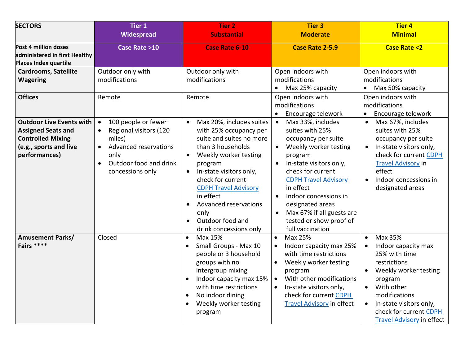| <b>SECTORS</b>                                                                                                                      | <b>Tier 1</b>                                                                                                                                                                              | <b>Tier 2</b>                                                                                                                                                                                                                                                                                                                                             | <b>Tier 3</b>                                                                                                                                                                                                                                                                                                                                               | <b>Tier 4</b>                                                                                                                                                                                                                                                                   |
|-------------------------------------------------------------------------------------------------------------------------------------|--------------------------------------------------------------------------------------------------------------------------------------------------------------------------------------------|-----------------------------------------------------------------------------------------------------------------------------------------------------------------------------------------------------------------------------------------------------------------------------------------------------------------------------------------------------------|-------------------------------------------------------------------------------------------------------------------------------------------------------------------------------------------------------------------------------------------------------------------------------------------------------------------------------------------------------------|---------------------------------------------------------------------------------------------------------------------------------------------------------------------------------------------------------------------------------------------------------------------------------|
|                                                                                                                                     | Widespread                                                                                                                                                                                 | <b>Substantial</b>                                                                                                                                                                                                                                                                                                                                        | <b>Moderate</b>                                                                                                                                                                                                                                                                                                                                             | <b>Minimal</b>                                                                                                                                                                                                                                                                  |
| Post 4 million doses<br>administered in first Healthy<br><b>Places Index quartile</b>                                               | Case Rate >10                                                                                                                                                                              | <b>Case Rate 6-10</b>                                                                                                                                                                                                                                                                                                                                     | <b>Case Rate 2-5.9</b>                                                                                                                                                                                                                                                                                                                                      | <b>Case Rate &lt;2</b>                                                                                                                                                                                                                                                          |
| <b>Cardrooms, Satellite</b><br><b>Wagering</b>                                                                                      | Outdoor only with<br>modifications                                                                                                                                                         | Outdoor only with<br>modifications                                                                                                                                                                                                                                                                                                                        | Open indoors with<br>modifications<br>Max 25% capacity                                                                                                                                                                                                                                                                                                      | Open indoors with<br>modifications<br>Max 50% capacity                                                                                                                                                                                                                          |
| <b>Offices</b>                                                                                                                      | Remote                                                                                                                                                                                     | Remote                                                                                                                                                                                                                                                                                                                                                    | Open indoors with<br>modifications<br>Encourage telework                                                                                                                                                                                                                                                                                                    | Open indoors with<br>modifications<br>Encourage telework<br>$\bullet$                                                                                                                                                                                                           |
| <b>Outdoor Live Events with</b><br><b>Assigned Seats and</b><br><b>Controlled Mixing</b><br>(e.g., sports and live<br>performances) | 100 people or fewer<br>$\bullet$<br>Regional visitors (120<br>$\bullet$<br>miles)<br>Advanced reservations<br>$\bullet$<br>only<br>Outdoor food and drink<br>$\bullet$<br>concessions only | Max 20%, includes suites<br>with 25% occupancy per<br>suite and suites no more<br>than 3 households<br>Weekly worker testing<br>program<br>In-state visitors only,<br>$\bullet$<br>check for current<br><b>CDPH Travel Advisory</b><br>in effect<br>Advanced reservations<br>$\bullet$<br>only<br>Outdoor food and<br>$\bullet$<br>drink concessions only | Max 33%, includes<br>suites with 25%<br>occupancy per suite<br>Weekly worker testing<br>$\bullet$<br>program<br>In-state visitors only,<br>check for current<br><b>CDPH Travel Advisory</b><br>in effect<br>Indoor concessions in<br>$\bullet$<br>designated areas<br>Max 67% if all guests are<br>$\bullet$<br>tested or show proof of<br>full vaccination | Max 67%, includes<br>suites with 25%<br>occupancy per suite<br>In-state visitors only,<br>$\bullet$<br>check for current CDPH<br><b>Travel Advisory in</b><br>effect<br>Indoor concessions in<br>$\bullet$<br>designated areas                                                  |
| <b>Amusement Parks/</b><br>Fairs ****                                                                                               | Closed                                                                                                                                                                                     | Max 15%<br>$\bullet$<br>Small Groups - Max 10<br>$\bullet$<br>people or 3 household<br>groups with no<br>intergroup mixing<br>Indoor capacity max 15%<br>with time restrictions<br>No indoor dining<br>Weekly worker testing<br>$\bullet$<br>program                                                                                                      | Max 25%<br>$\bullet$<br>Indoor capacity max 25%<br>with time restrictions<br>Weekly worker testing<br>$\bullet$<br>program<br>With other modifications<br>$\bullet$<br>In-state visitors only,<br>$\bullet$<br>check for current CDPH<br><b>Travel Advisory in effect</b>                                                                                   | Max 35%<br>$\bullet$<br>Indoor capacity max<br>$\bullet$<br>25% with time<br>restrictions<br>Weekly worker testing<br>program<br>With other<br>$\bullet$<br>modifications<br>In-state visitors only,<br>$\bullet$<br>check for current CDPH<br><b>Travel Advisory in effect</b> |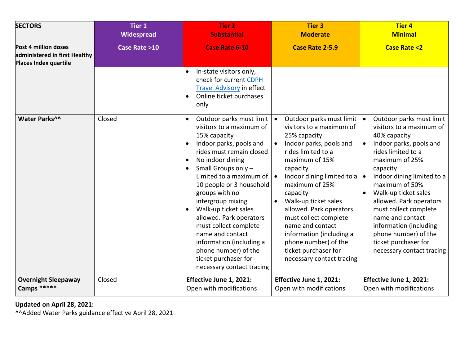| <b>SECTORS</b>                                                                        | <b>Tier 1</b><br><b>Widespread</b> | <b>Tier 2</b><br><b>Substantial</b>                                                                                                                                                                                                                                                                                                                                                                                                                                                                                           | <b>Tier 3</b><br><b>Moderate</b>                                                                                                                                                                                                                                                                                                                                                                                         | <b>Tier 4</b><br><b>Minimal</b>                                                                                                                                                                                                                                                                                                                                                                                                                                |
|---------------------------------------------------------------------------------------|------------------------------------|-------------------------------------------------------------------------------------------------------------------------------------------------------------------------------------------------------------------------------------------------------------------------------------------------------------------------------------------------------------------------------------------------------------------------------------------------------------------------------------------------------------------------------|--------------------------------------------------------------------------------------------------------------------------------------------------------------------------------------------------------------------------------------------------------------------------------------------------------------------------------------------------------------------------------------------------------------------------|----------------------------------------------------------------------------------------------------------------------------------------------------------------------------------------------------------------------------------------------------------------------------------------------------------------------------------------------------------------------------------------------------------------------------------------------------------------|
| Post 4 million doses<br>administered in first Healthy<br><b>Places Index quartile</b> | Case Rate >10                      | <b>Case Rate 6-10</b>                                                                                                                                                                                                                                                                                                                                                                                                                                                                                                         | Case Rate 2-5.9                                                                                                                                                                                                                                                                                                                                                                                                          | <b>Case Rate &lt;2</b>                                                                                                                                                                                                                                                                                                                                                                                                                                         |
|                                                                                       |                                    | In-state visitors only,<br>check for current CDPH<br><b>Travel Advisory in effect</b><br>Online ticket purchases<br>$\bullet$<br>only                                                                                                                                                                                                                                                                                                                                                                                         |                                                                                                                                                                                                                                                                                                                                                                                                                          |                                                                                                                                                                                                                                                                                                                                                                                                                                                                |
| Water Parks^^                                                                         | Closed                             | Outdoor parks must limit<br>visitors to a maximum of<br>15% capacity<br>Indoor parks, pools and<br>$\bullet$<br>rides must remain closed<br>No indoor dining<br>$\bullet$<br>Small Groups only -<br>Limited to a maximum of $\vert \bullet \vert$<br>10 people or 3 household<br>groups with no<br>intergroup mixing<br>Walk-up ticket sales<br>allowed. Park operators<br>must collect complete<br>name and contact<br>information (including a<br>phone number) of the<br>ticket purchaser for<br>necessary contact tracing | Outdoor parks must limit<br>visitors to a maximum of<br>25% capacity<br>Indoor parks, pools and<br>rides limited to a<br>maximum of 15%<br>capacity<br>Indoor dining limited to a<br>maximum of 25%<br>capacity<br>Walk-up ticket sales<br>allowed. Park operators<br>must collect complete<br>name and contact<br>information (including a<br>phone number) of the<br>ticket purchaser for<br>necessary contact tracing | Outdoor parks must limit<br>$\bullet$<br>visitors to a maximum of<br>40% capacity<br>Indoor parks, pools and<br>$\bullet$<br>rides limited to a<br>maximum of 25%<br>capacity<br>Indoor dining limited to a<br>$\bullet$<br>maximum of 50%<br>Walk-up ticket sales<br>$\bullet$<br>allowed. Park operators<br>must collect complete<br>name and contact<br>information (including<br>phone number) of the<br>ticket purchaser for<br>necessary contact tracing |
| <b>Overnight Sleepaway</b><br>Camps *****                                             | Closed                             | Effective June 1, 2021:<br>Open with modifications                                                                                                                                                                                                                                                                                                                                                                                                                                                                            | Effective June 1, 2021:<br>Open with modifications                                                                                                                                                                                                                                                                                                                                                                       | Effective June 1, 2021:<br>Open with modifications                                                                                                                                                                                                                                                                                                                                                                                                             |

**Updated on April 28, 2021:**

^^Added Water Parks guidance effective April 28, 2021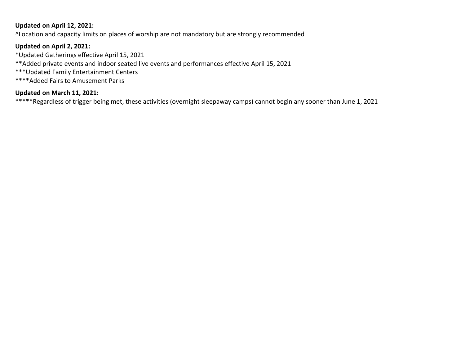# **Updated on April 12, 2021:**

^Location and capacity limits on places of worship are not mandatory but are strongly recommended

# **Updated on April 2, 2021:**

\*Updated Gatherings effective April 15, 2021

\*\*Added private events and indoor seated live events and performances effective April 15, 2021

- \*\*\*Updated Family Entertainment Centers
- \*\*\*\*Added Fairs to Amusement Parks

# **Updated on March 11, 2021:**

\*\*\*\*\*Regardless of trigger being met, these activities (overnight sleepaway camps) cannot begin any sooner than June 1, 2021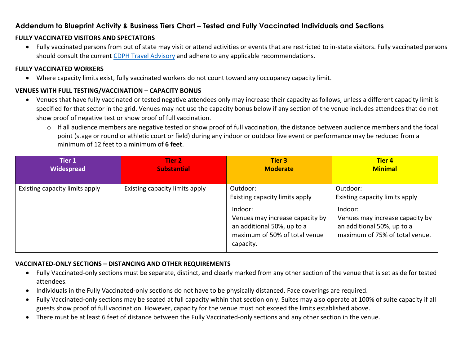# **Addendum to Blueprint Activity & Business Tiers Chart – Tested and Fully Vaccinated Individuals and Sections**

# **FULLY VACCINATED VISITORS AND SPECTATORS**

• Fully vaccinated persons from out of state may visit or attend activities or events that are restricted to in-state visitors. Fully vaccinated persons should consult the current [CDPH Travel Advisory](https://www.cdph.ca.gov/Programs/CID/DCDC/Pages/COVID-19/Travel-Advisory.aspx) and adhere to any applicable recommendations.

#### **FULLY VACCINATED WORKERS**

• Where capacity limits exist, fully vaccinated workers do not count toward any occupancy capacity limit.

# **VENUES WITH FULL TESTING/VACCINATION – CAPACITY BONUS**

- Venues that have fully vaccinated or tested negative attendees only may increase their capacity as follows, unless a different capacity limit is specified for that sector in the grid. Venues may not use the capacity bonus below if any section of the venue includes attendees that do not show proof of negative test or show proof of full vaccination.
	- o If all audience members are negative tested or show proof of full vaccination, the distance between audience members and the focal point (stage or round or athletic court or field) during any indoor or outdoor live event or performance may be reduced from a minimum of 12 feet to a minimum of **6 feet**.

| Tier 1                         | <b>Tier 2</b>                  | <b>Tier 3</b>                                                                                                                                                        | <b>Tier 4</b>                                                                                                                                            |
|--------------------------------|--------------------------------|----------------------------------------------------------------------------------------------------------------------------------------------------------------------|----------------------------------------------------------------------------------------------------------------------------------------------------------|
| Widespread                     | <b>Substantial</b>             | <b>Moderate</b>                                                                                                                                                      | <b>Minimal</b>                                                                                                                                           |
| Existing capacity limits apply | Existing capacity limits apply | Outdoor:<br>Existing capacity limits apply<br>Indoor:<br>Venues may increase capacity by<br>an additional 50%, up to a<br>maximum of 50% of total venue<br>capacity. | Outdoor:<br>Existing capacity limits apply<br>Indoor:<br>Venues may increase capacity by<br>an additional 50%, up to a<br>maximum of 75% of total venue. |

# **VACCINATED-ONLY SECTIONS – DISTANCING AND OTHER REQUIREMENTS**

- Fully Vaccinated-only sections must be separate, distinct, and clearly marked from any other section of the venue that is set aside for tested attendees.
- Individuals in the Fully Vaccinated-only sections do not have to be physically distanced. Face coverings are required.
- Fully Vaccinated-only sections may be seated at full capacity within that section only. Suites may also operate at 100% of suite capacity if all guests show proof of full vaccination. However, capacity for the venue must not exceed the limits established above.
- There must be at least 6 feet of distance between the Fully Vaccinated-only sections and any other section in the venue.